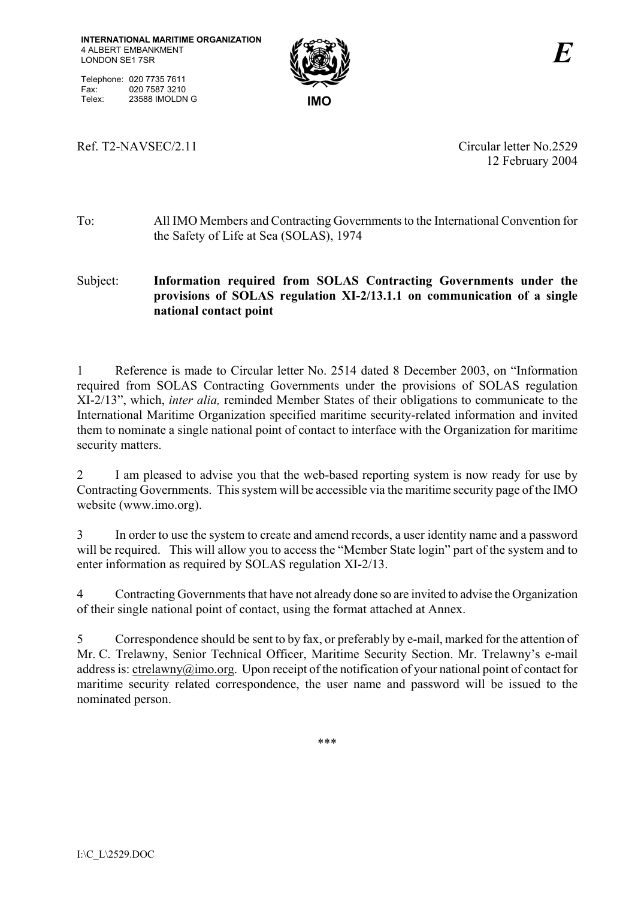Telephone: 020 7735 7611 Fax: 020 7587 3210<br>Telex: 23588 IMOLDN Telex: 23588 IMOLDN G **IMO** 



Ref. T2-NAVSEC/2.11 Circular letter No.2529

12 February 2004

## To:All IMO Members and Contracting Governments to the International Convention for the Safety of Life at Sea (SOLAS), 1974

## Subject: **Information required from SOLAS Contracting Governments under the provisions of SOLAS regulation XI-2/13.1.1 on communication of a single national contact point**

1 Reference is made to Circular letter No. 2514 dated 8 December 2003, on "Information required from SOLAS Contracting Governments under the provisions of SOLAS regulation XI-2/13", which, *inter alia,* reminded Member States of their obligations to communicate to the International Maritime Organization specified maritime security-related information and invited them to nominate a single national point of contact to interface with the Organization for maritime security matters.

2 I am pleased to advise you that the web-based reporting system is now ready for use by Contracting Governments. This system will be accessible via the maritime security page of the IMO website (www.imo.org).

3 In order to use the system to create and amend records, a user identity name and a password will be required. This will allow you to access the "Member State login" part of the system and to enter information as required by SOLAS regulation XI-2/13.

4 Contracting Governments that have not already done so are invited to advise the Organization of their single national point of contact, using the format attached at Annex.

5 Correspondence should be sent to by fax, or preferably by e-mail, marked for the attention of Mr. C. Trelawny, Senior Technical Officer, Maritime Security Section. Mr. Trelawny's e-mail address is: ctrelawny@imo.org. Upon receipt of the notification of your national point of contact for maritime security related correspondence, the user name and password will be issued to the nominated person.

\*\*\*